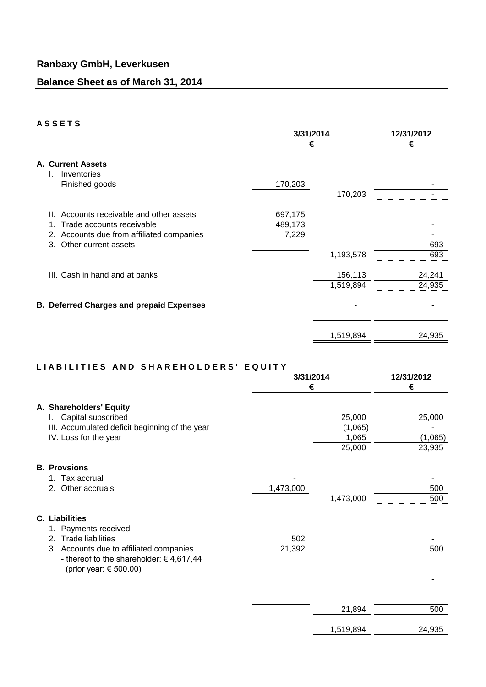### **A S S E T S**

| ────           |                                                                                                                                        | 3/31/2014<br>€              |                      | 12/31/2012<br>€  |
|----------------|----------------------------------------------------------------------------------------------------------------------------------------|-----------------------------|----------------------|------------------|
| I.             | <b>A. Current Assets</b><br>Inventories<br>Finished goods                                                                              | 170,203                     | 170,203              |                  |
| Ш.<br>1.<br>3. | Accounts receivable and other assets<br>Trade accounts receivable<br>2. Accounts due from affiliated companies<br>Other current assets | 697,175<br>489,173<br>7,229 | 1,193,578            | 693<br>693       |
|                | III. Cash in hand and at banks                                                                                                         |                             | 156,113<br>1,519,894 | 24,241<br>24,935 |
|                | <b>B. Deferred Charges and prepaid Expenses</b>                                                                                        |                             |                      |                  |
|                |                                                                                                                                        |                             | 1,519,894            | 24,935           |

#### **L I A B I L I T I E S A N D S H A R E H O L D E R S ' E Q U I T Y**

| 3/31/2014<br>€ |                                      | 12/31/2012<br>€             |
|----------------|--------------------------------------|-----------------------------|
|                | 25,000<br>(1,065)<br>1,065<br>25,000 | 25,000<br>(1,065)<br>23,935 |
| 1,473,000      | 1,473,000                            | 500<br>500                  |
| 502<br>21,392  |                                      | 500                         |
|                | 21,894                               | 500<br>24,935               |
|                |                                      | 1,519,894                   |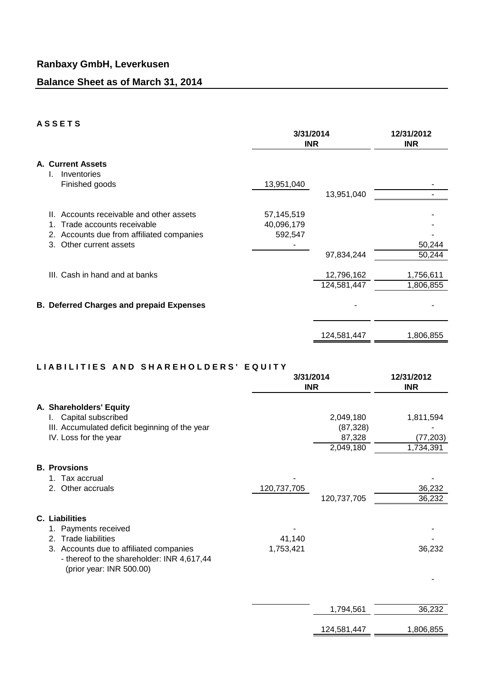### **A S S E T S**

|                                                                 |                                                                                                                                                       | 3/31/2014<br><b>INR</b>             |                           | 12/31/2012<br><b>INR</b> |
|-----------------------------------------------------------------|-------------------------------------------------------------------------------------------------------------------------------------------------------|-------------------------------------|---------------------------|--------------------------|
| <b>A. Current Assets</b><br>Inventories<br>I.<br>Finished goods |                                                                                                                                                       | 13,951,040                          | 13,951,040                |                          |
|                                                                 | Accounts receivable and other assets<br>Ш.<br>Trade accounts receivable<br>Accounts due from affiliated companies<br>2.<br>Other current assets<br>3. | 57,145,519<br>40,096,179<br>592,547 | 97,834,244                | 50,244<br>50,244         |
|                                                                 | III. Cash in hand and at banks                                                                                                                        |                                     | 12,796,162<br>124,581,447 | 1,756,611<br>1,806,855   |
|                                                                 | <b>B. Deferred Charges and prepaid Expenses</b>                                                                                                       |                                     |                           |                          |
|                                                                 |                                                                                                                                                       |                                     | 124,581,447               | 1,806,855                |

#### **L I A B I L I T I E S A N D S H A R E H O L D E R S ' E Q U I T Y**

|                                                                                                                                                                                        | 3/31/2014<br><b>INR</b> |                                               | 12/31/2012<br><b>INR</b>            |
|----------------------------------------------------------------------------------------------------------------------------------------------------------------------------------------|-------------------------|-----------------------------------------------|-------------------------------------|
| A. Shareholders' Equity<br>I. Capital subscribed<br>III. Accumulated deficit beginning of the year<br>IV. Loss for the year                                                            |                         | 2,049,180<br>(87, 328)<br>87,328<br>2,049,180 | 1,811,594<br>(77, 203)<br>1,734,391 |
| <b>B. Provsions</b><br>1. Tax accrual<br>2. Other accruals                                                                                                                             | 120,737,705             | 120,737,705                                   | 36,232<br>36,232                    |
| C. Liabilities<br>1. Payments received<br>Trade liabilities<br>2.<br>3. Accounts due to affiliated companies<br>- thereof to the shareholder: INR 4,617,44<br>(prior year: INR 500.00) | 41,140<br>1,753,421     |                                               | 36,232                              |
|                                                                                                                                                                                        |                         | 1,794,561                                     | 36,232                              |

124,581,447 1,806,855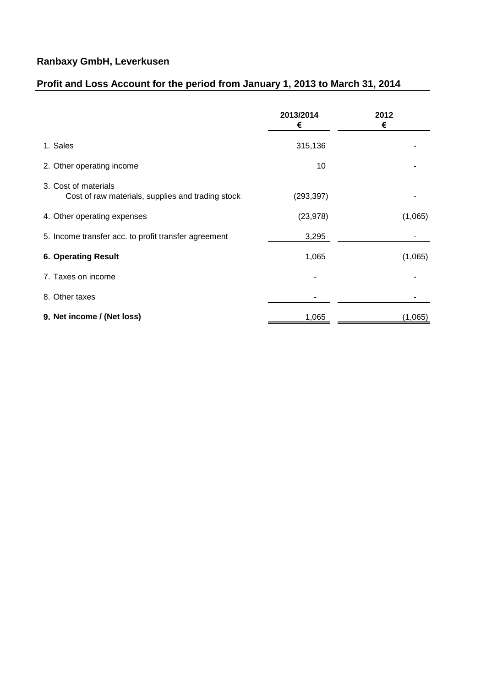# **Ranbaxy GmbH, Leverkusen**

## **Profit and Loss Account for the period from January 1, 2013 to March 31, 2014**

|                                                                           | 2013/2014<br>€ | 2012<br>€ |
|---------------------------------------------------------------------------|----------------|-----------|
| 1. Sales                                                                  | 315,136        |           |
| 2. Other operating income                                                 | 10             |           |
| 3. Cost of materials<br>Cost of raw materials, supplies and trading stock | (293, 397)     |           |
| 4. Other operating expenses                                               | (23, 978)      | (1,065)   |
| 5. Income transfer acc. to profit transfer agreement                      | 3,295          |           |
| <b>6. Operating Result</b>                                                | 1,065          | (1,065)   |
| 7. Taxes on income                                                        |                |           |
| 8. Other taxes                                                            |                |           |
| 9. Net income / (Net loss)                                                | 1,065          | (1,065)   |